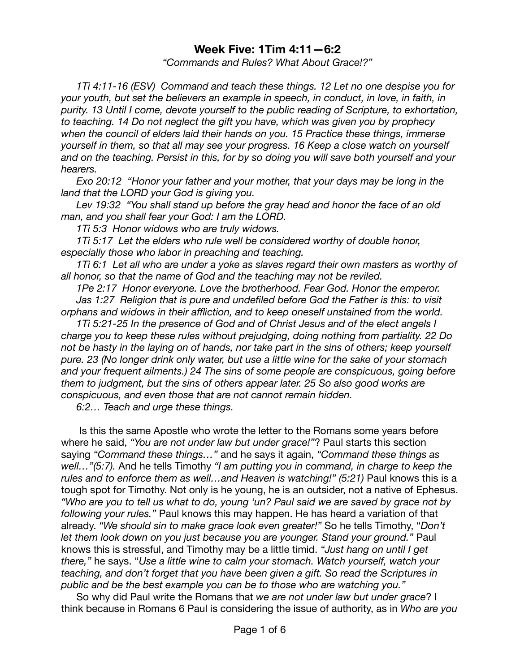## **Week Five: 1Tim 4:11—6:2**

*"Commands and Rules? What About Grace!?"* 

*1Ti 4:11-16 (ESV) Command and teach these things. 12 Let no one despise you for your youth, but set the believers an example in speech, in conduct, in love, in faith, in purity. 13 Until I come, devote yourself to the public reading of Scripture, to exhortation, to teaching. 14 Do not neglect the gift you have, which was given you by prophecy when the council of elders laid their hands on you. 15 Practice these things, immerse yourself in them, so that all may see your progress. 16 Keep a close watch on yourself and on the teaching. Persist in this, for by so doing you will save both yourself and your hearers.* 

*[Exo 20:12](verseid:2.20.12) "Honor your father and your mother, that your days may be long in the land that the LORD your God is giving you.* 

*[Lev 19:32](verseid:3.19.32) "You shall stand up before the gray head and honor the face of an old man, and you shall fear your God: I am the LORD.* 

*[1Ti 5:3](verseid:54.5.3) Honor widows who are truly widows.* 

[1Ti 5:17](verseid:54.5.17) Let the elders who rule well be considered worthy of double honor, *especially those who labor in preaching and teaching.* 

[1Ti 6:1](verseid:54.6.1) Let all who are under a yoke as slaves regard their own masters as worthy of *all honor, so that the name of God and the teaching may not be reviled.* 

*[1Pe 2:17](verseid:60.2.17) Honor everyone. Love the brotherhood. Fear God. Honor the emperor. [Jas 1:27](verseid:59.1.27) Religion that is pure and undefiled before God the Father is this: to visit orphans and widows in their affliction, and to keep oneself unstained from the world.* 

*1Ti 5:21-25 In the presence of God and of Christ Jesus and of the elect angels I charge you to keep these rules without prejudging, doing nothing from partiality. 22 Do not be hasty in the laying on of hands, nor take part in the sins of others; keep yourself pure. 23 (No longer drink only water, but use a little wine for the sake of your stomach and your frequent ailments.) 24 The sins of some people are conspicuous, going before them to judgment, but the sins of others appear later. 25 So also good works are conspicuous, and even those that are not cannot remain hidden.* 

*6:2… Teach and urge these things.* 

 Is this the same Apostle who wrote the letter to the Romans some years before where he said, *"You are not under law but under grace!"*? Paul starts this section saying *"Command these things…"* and he says it again, *"Command these things as well…"(5:7).* And he tells Timothy *"I am putting you in command, in charge to keep the*  rules and to enforce them as well...and Heaven is watching!" (5:21) Paul knows this is a tough spot for Timothy. Not only is he young, he is an outsider, not a native of Ephesus. *"Who are you to tell us what to do, young 'un? Paul said we are saved by grace not by following your rules."* Paul knows this may happen. He has heard a variation of that already. *"We should sin to make grace look even greater!"* So he tells Timothy, "*Don't let them look down on you just because you are younger. Stand your ground."* Paul knows this is stressful, and Timothy may be a little timid. *"Just hang on until I get there,"* he says. "*Use a little wine to calm your stomach. Watch yourself, watch your teaching, and don't forget that you have been given a gift. So read the Scriptures in public and be the best example you can be to those who are watching you."*

So why did Paul write the Romans that *we are not under law but under grace*? I think because in Romans 6 Paul is considering the issue of authority, as in *Who are you*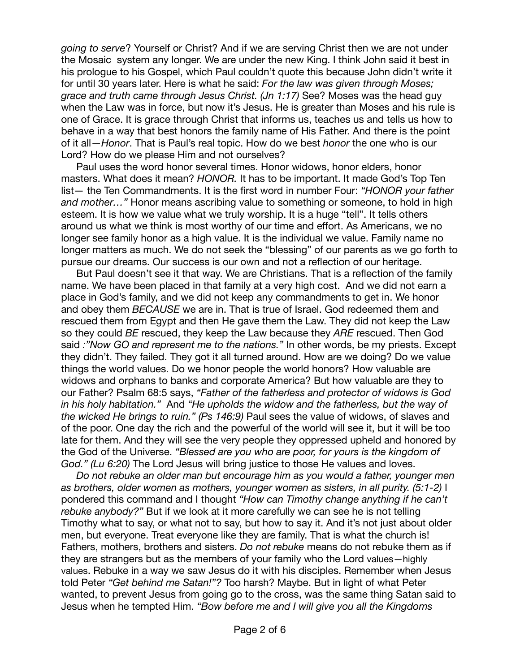*going to serve*? Yourself or Christ? And if we are serving Christ then we are not under the Mosaic system any longer. We are under the new King. I think John said it best in his prologue to his Gospel, which Paul couldn't quote this because John didn't write it for until 30 years later. Here is what he said: *For the law was given through Moses; grace and truth came through Jesus Christ. (Jn 1:17)* See? Moses was the head guy when the Law was in force, but now it's Jesus. He is greater than Moses and his rule is one of Grace. It is grace through Christ that informs us, teaches us and tells us how to behave in a way that best honors the family name of His Father. And there is the point of it all—*Honor*. That is Paul's real topic. How do we best *honor* the one who is our Lord? How do we please Him and not ourselves?

Paul uses the word honor several times. Honor widows, honor elders, honor masters. What does it mean? *HONOR.* It has to be important. It made God's Top Ten list— the Ten Commandments. It is the first word in number Four: *"HONOR your father and mother…"* Honor means ascribing value to something or someone, to hold in high esteem. It is how we value what we truly worship. It is a huge "tell". It tells others around us what we think is most worthy of our time and effort. As Americans, we no longer see family honor as a high value. It is the individual we value. Family name no longer matters as much. We do not seek the "blessing" of our parents as we go forth to pursue our dreams. Our success is our own and not a reflection of our heritage.

But Paul doesn't see it that way. We are Christians. That is a reflection of the family name. We have been placed in that family at a very high cost. And we did not earn a place in God's family, and we did not keep any commandments to get in. We honor and obey them *BECAUSE* we are in. That is true of Israel. God redeemed them and rescued them from Egypt and then He gave them the Law. They did not keep the Law so they could *BE* rescued, they keep the Law because they *ARE* rescued. Then God said *:"Now GO and represent me to the nations."* In other words, be my priests. Except they didn't. They failed. They got it all turned around. How are we doing? Do we value things the world values. Do we honor people the world honors? How valuable are widows and orphans to banks and corporate America? But how valuable are they to our Father? Psalm 68:5 says, *"Father of the fatherless and protector of widows is God in his holy habitation."* And *"He upholds the widow and the fatherless, but the way of the wicked He brings to ruin." (Ps 146:9)* Paul sees the value of widows, of slaves and of the poor. One day the rich and the powerful of the world will see it, but it will be too late for them. And they will see the very people they oppressed upheld and honored by the God of the Universe. *"Blessed are you who are poor, for yours is the kingdom of God." (Lu 6:20)* The Lord Jesus will bring justice to those He values and loves.

*Do not rebuke an older man but encourage him as you would a father, younger men as brothers, older women as mothers, younger women as sisters, in all purity. (5:1-2)* I pondered this command and I thought *"How can Timothy change anything if he can't rebuke anybody?"* But if we look at it more carefully we can see he is not telling Timothy what to say, or what not to say, but how to say it. And it's not just about older men, but everyone. Treat everyone like they are family. That is what the church is! Fathers, mothers, brothers and sisters. *Do not rebuke* means do not rebuke them as if they are strangers but as the members of your family who the Lord values—highly values. Rebuke in a way we saw Jesus do it with his disciples. Remember when Jesus told Peter *"Get behind me Satan!"?* Too harsh? Maybe. But in light of what Peter wanted, to prevent Jesus from going go to the cross, was the same thing Satan said to Jesus when he tempted Him. *"Bow before me and I will give you all the Kingdoms*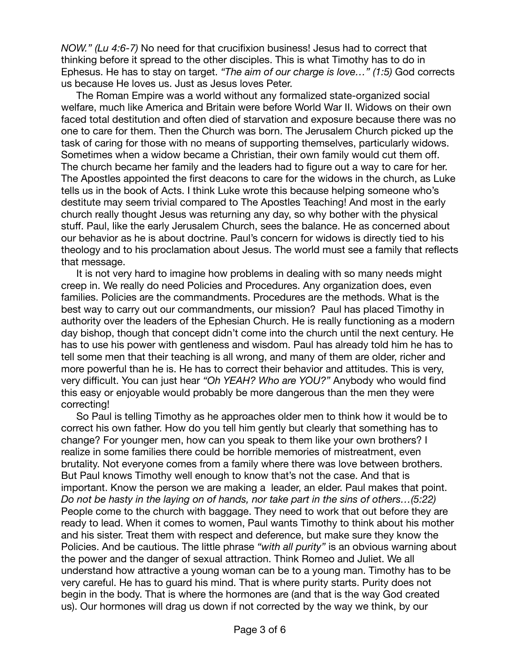*NOW." (Lu 4:6-7)* No need for that crucifixion business! Jesus had to correct that thinking before it spread to the other disciples. This is what Timothy has to do in Ephesus. He has to stay on target. *"The aim of our charge is love…" (1:5)* God corrects us because He loves us. Just as Jesus loves Peter.

The Roman Empire was a world without any formalized state-organized social welfare, much like America and Britain were before World War II. Widows on their own faced total destitution and often died of starvation and exposure because there was no one to care for them. Then the Church was born. The Jerusalem Church picked up the task of caring for those with no means of supporting themselves, particularly widows. Sometimes when a widow became a Christian, their own family would cut them off. The church became her family and the leaders had to figure out a way to care for her. The Apostles appointed the first deacons to care for the widows in the church, as Luke tells us in the book of Acts. I think Luke wrote this because helping someone who's destitute may seem trivial compared to The Apostles Teaching! And most in the early church really thought Jesus was returning any day, so why bother with the physical stuff. Paul, like the early Jerusalem Church, sees the balance. He as concerned about our behavior as he is about doctrine. Paul's concern for widows is directly tied to his theology and to his proclamation about Jesus. The world must see a family that reflects that message.

It is not very hard to imagine how problems in dealing with so many needs might creep in. We really do need Policies and Procedures. Any organization does, even families. Policies are the commandments. Procedures are the methods. What is the best way to carry out our commandments, our mission? Paul has placed Timothy in authority over the leaders of the Ephesian Church. He is really functioning as a modern day bishop, though that concept didn't come into the church until the next century. He has to use his power with gentleness and wisdom. Paul has already told him he has to tell some men that their teaching is all wrong, and many of them are older, richer and more powerful than he is. He has to correct their behavior and attitudes. This is very, very difficult. You can just hear *"Oh YEAH? Who are YOU?"* Anybody who would find this easy or enjoyable would probably be more dangerous than the men they were correcting!

So Paul is telling Timothy as he approaches older men to think how it would be to correct his own father. How do you tell him gently but clearly that something has to change? For younger men, how can you speak to them like your own brothers? I realize in some families there could be horrible memories of mistreatment, even brutality. Not everyone comes from a family where there was love between brothers. But Paul knows Timothy well enough to know that's not the case. And that is important. Know the person we are making a leader, an elder. Paul makes that point. *Do not be hasty in the laying on of hands, nor take part in the sins of others…(5:22)*  People come to the church with baggage. They need to work that out before they are ready to lead. When it comes to women, Paul wants Timothy to think about his mother and his sister. Treat them with respect and deference, but make sure they know the Policies. And be cautious. The little phrase *"with all purity"* is an obvious warning about the power and the danger of sexual attraction. Think Romeo and Juliet. We all understand how attractive a young woman can be to a young man. Timothy has to be very careful. He has to guard his mind. That is where purity starts. Purity does not begin in the body. That is where the hormones are (and that is the way God created us). Our hormones will drag us down if not corrected by the way we think, by our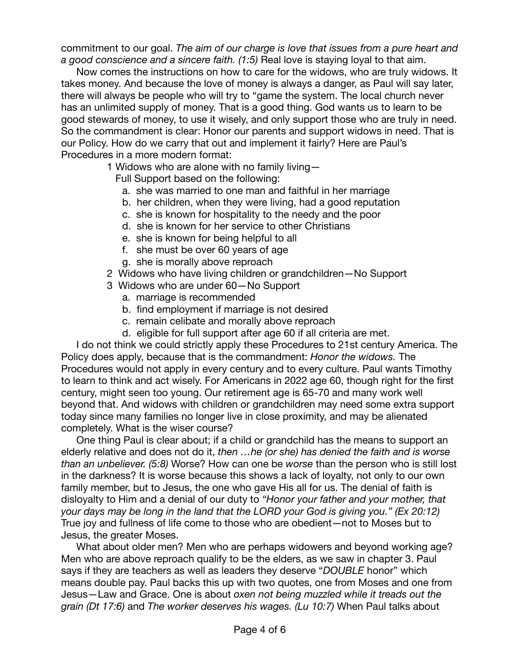commitment to our goal. *The aim of our charge is love that issues from a pure heart and a good conscience and a sincere faith. (1:5)* Real love is staying loyal to that aim.

Now comes the instructions on how to care for the widows, who are truly widows. It takes money. And because the love of money is always a danger, as Paul will say later, there will always be people who will try to "game the system. The local church never has an unlimited supply of money. That is a good thing. God wants us to learn to be good stewards of money, to use it wisely, and only support those who are truly in need. So the commandment is clear: Honor our parents and support widows in need. That is our Policy. How do we carry that out and implement it fairly? Here are Paul's Procedures in a more modern format:

1 Widows who are alone with no family living—

Full Support based on the following:

- a. she was married to one man and faithful in her marriage
- b. her children, when they were living, had a good reputation
- c. she is known for hospitality to the needy and the poor
- d. she is known for her service to other Christians
- e. she is known for being helpful to all
- f. she must be over 60 years of age
- g. she is morally above reproach
- 2 Widows who have living children or grandchildren—No Support
- 3 Widows who are under 60—No Support
	- a. marriage is recommended
	- b. find employment if marriage is not desired
	- c. remain celibate and morally above reproach
	- d. eligible for full support after age 60 if all criteria are met.

I do not think we could strictly apply these Procedures to 21st century America. The Policy does apply, because that is the commandment: *Honor the widows.* The Procedures would not apply in every century and to every culture. Paul wants Timothy to learn to think and act wisely. For Americans in 2022 age 60, though right for the first century, might seen too young. Our retirement age is 65-70 and many work well beyond that. And widows with children or grandchildren may need some extra support today since many families no longer live in close proximity, and may be alienated completely. What is the wiser course?

One thing Paul is clear about; if a child or grandchild has the means to support an elderly relative and does not do it, *then …he (or she) has denied the faith and is worse than an unbeliever. (5:8)* Worse? How can one be *worse* than the person who is still lost in the darkness? It is worse because this shows a lack of loyalty, not only to our own family member, but to Jesus, the one who gave His all for us. The denial of faith is disloyalty to Him and a denial of our duty to *"Honor your father and your mother, that your days may be long in the land that the LORD your God is giving you." (Ex 20:12)*  True joy and fullness of life come to those who are obedient—not to Moses but to Jesus, the greater Moses.

What about older men? Men who are perhaps widowers and beyond working age? Men who are above reproach qualify to be the elders, as we saw in chapter 3. Paul says if they are teachers as well as leaders they deserve "*DOUBLE* honor" which means double pay. Paul backs this up with two quotes, one from Moses and one from Jesus—Law and Grace. One is about *oxen not being muzzled while it treads out the grain (Dt 17:6)* and *The worker deserves his wages. (Lu 10:7)* When Paul talks about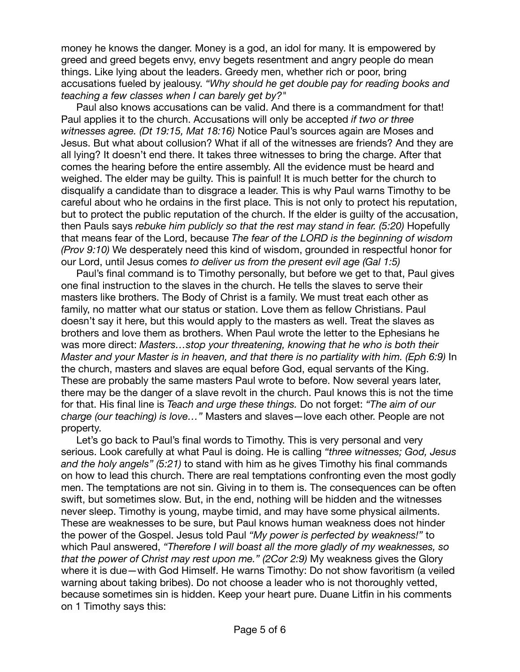money he knows the danger. Money is a god, an idol for many. It is empowered by greed and greed begets envy, envy begets resentment and angry people do mean things. Like lying about the leaders. Greedy men, whether rich or poor, bring accusations fueled by jealousy. *"Why should he get double pay for reading books and teaching a few classes when I can barely get by?"*

Paul also knows accusations can be valid. And there is a commandment for that! Paul applies it to the church. Accusations will only be accepted *if two or three witnesses agree. (Dt 19:15, Mat 18:16)* Notice Paul's sources again are Moses and Jesus. But what about collusion? What if all of the witnesses are friends? And they are all lying? It doesn't end there. It takes three witnesses to bring the charge. After that comes the hearing before the entire assembly. All the evidence must be heard and weighed. The elder may be guilty. This is painful! It is much better for the church to disqualify a candidate than to disgrace a leader. This is why Paul warns Timothy to be careful about who he ordains in the first place. This is not only to protect his reputation, but to protect the public reputation of the church. If the elder is guilty of the accusation, then Pauls says *rebuke him publicly so that the rest may stand in fear. (5:20)* Hopefully that means fear of the Lord, because *The fear of the LORD is the beginning of wisdom (Prov 9:10)* We desperately need this kind of wisdom, grounded in respectful honor for our Lord, until Jesus comes *to deliver us from the present evil age (Gal 1:5)*

Paul's final command is to Timothy personally, but before we get to that, Paul gives one final instruction to the slaves in the church. He tells the slaves to serve their masters like brothers. The Body of Christ is a family. We must treat each other as family, no matter what our status or station. Love them as fellow Christians. Paul doesn't say it here, but this would apply to the masters as well. Treat the slaves as brothers and love them as brothers. When Paul wrote the letter to the Ephesians he was more direct: *Masters…stop your threatening, knowing that he who is both their Master and your Master is in heaven, and that there is no partiality with him. (Eph 6:9)* In the church, masters and slaves are equal before God, equal servants of the King. These are probably the same masters Paul wrote to before. Now several years later, there may be the danger of a slave revolt in the church. Paul knows this is not the time for that. His final line is *Teach and urge these things.* Do not forget: *"The aim of our charge (our teaching) is love…"* Masters and slaves—love each other. People are not property.

Let's go back to Paul's final words to Timothy. This is very personal and very serious. Look carefully at what Paul is doing. He is calling *"three witnesses; God, Jesus and the holy angels" (5:21)* to stand with him as he gives Timothy his final commands on how to lead this church. There are real temptations confronting even the most godly men. The temptations are not sin. Giving in to them is. The consequences can be often swift, but sometimes slow. But, in the end, nothing will be hidden and the witnesses never sleep. Timothy is young, maybe timid, and may have some physical ailments. These are weaknesses to be sure, but Paul knows human weakness does not hinder the power of the Gospel. Jesus told Paul *"My power is perfected by weakness!"* to which Paul answered, *"Therefore I will boast all the more gladly of my weaknesses, so that the power of Christ may rest upon me." (2Cor 2:9)* My weakness gives the Glory where it is due—with God Himself. He warns Timothy: Do not show favoritism (a veiled warning about taking bribes). Do not choose a leader who is not thoroughly vetted, because sometimes sin is hidden. Keep your heart pure. Duane Litfin in his comments on 1 Timothy says this: